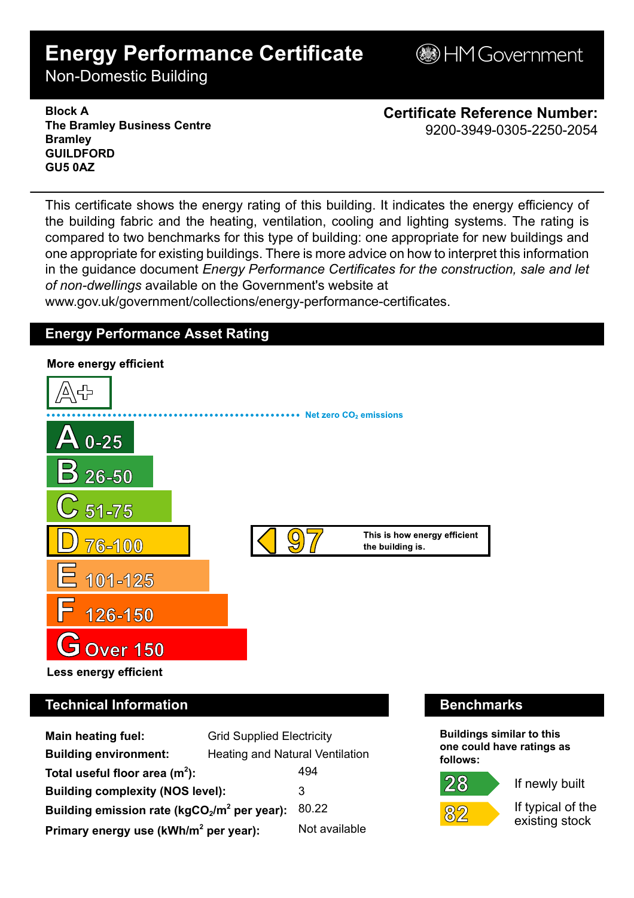# **Energy Performance Certificate**

**B**HM Government

Non-Domestic Building

**Block A The Bramley Business Centre Bramley GUILDFORD GU5 0AZ**

**Certificate Reference Number:** 9200-3949-0305-2250-2054

This certificate shows the energy rating of this building. It indicates the energy efficiency of the building fabric and the heating, ventilation, cooling and lighting systems. The rating is compared to two benchmarks for this type of building: one appropriate for new buildings and one appropriate for existing buildings. There is more advice on how to interpret this information in the guidance document *Energy Performance Certificates for the construction, sale and let of non-dwellings* available on the Government's website at

www.gov.uk/government/collections/energy-performance-certificates.

# **Energy Performance Asset Rating**



# **Technical Information Benchmarks**

| <b>Main heating fuel:</b>                         | <b>Grid Supplied Electricity</b> |               |
|---------------------------------------------------|----------------------------------|---------------|
| <b>Building environment:</b>                      | Heating and Natural Ventilation  |               |
| Total useful floor area $(m2)$ :                  |                                  | 494           |
| <b>Building complexity (NOS level):</b>           |                                  | 3             |
| Building emission rate ( $kgCO2/m2$ per year):    |                                  | 80.22         |
| Primary energy use (kWh/m <sup>2</sup> per year): |                                  | Not available |

**Buildings similar to this one could have ratings as follows:**

 $28 \,$ 



If newly built

If typical of the existing stock